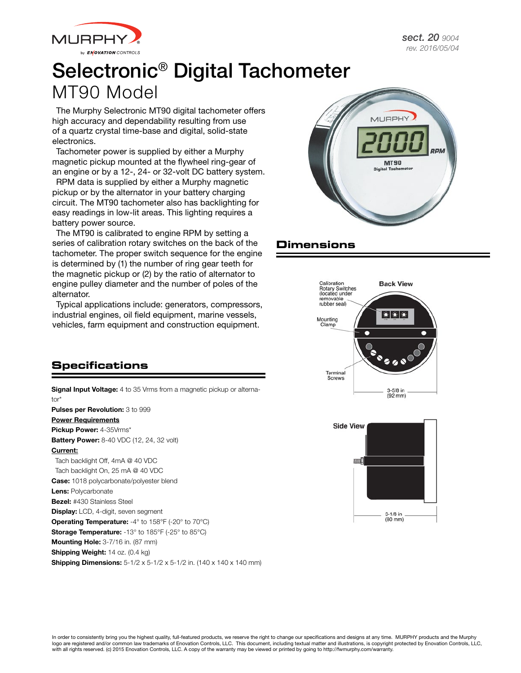



*sect. 20 9004 rev. 2016/05/04*

# Selectronic® Digital Tachometer MT90 Model

The Murphy Selectronic MT90 digital tachometer offers high accuracy and dependability resulting from use of a quartz crystal time-base and digital, solid-state electronics.

Tachometer power is supplied by either a Murphy magnetic pickup mounted at the flywheel ring-gear of an engine or by a 12-, 24- or 32-volt DC battery system.

RPM data is supplied by either a Murphy magnetic pickup or by the alternator in your battery charging circuit. The MT90 tachometer also has backlighting for easy readings in low-lit areas. This lighting requires a battery power source.

The MT90 is calibrated to engine RPM by setting a series of calibration rotary switches on the back of the tachometer. The proper switch sequence for the engine is determined by (1) the number of ring gear teeth for the magnetic pickup or (2) by the ratio of alternator to engine pulley diameter and the number of poles of the alternator.

Typical applications include: generators, compressors, industrial engines, oil field equipment, marine vessels, vehicles, farm equipment and construction equipment.



## **Dimensions**





#### **Specifications**

Signal Input Voltage: 4 to 35 Vrms from a magnetic pickup or alternator<sup>\*</sup> Pulses per Revolution: 3 to 999 Power Requirements Pickup Power: 4-35Vrms\* **Battery Power:** 8-40 VDC (12, 24, 32 volt) Current: Tach backlight Off, 4mA @ 40 VDC Tach backlight On, 25 mA @ 40 VDC Case: 1018 polycarbonate/polyester blend Lens: Polycarbonate Bezel: #430 Stainless Steel Display: LCD, 4-digit, seven segment Operating Temperature: -4° to 158°F (-20° to 70°C) Storage Temperature: -13° to 185°F (-25° to 85°C) **Mounting Hole: 3-7/16 in. (87 mm)** Shipping Weight: 14 oz. (0.4 kg) **Shipping Dimensions:** 5-1/2 x 5-1/2 x 5-1/2 in. (140 x 140 x 140 mm)